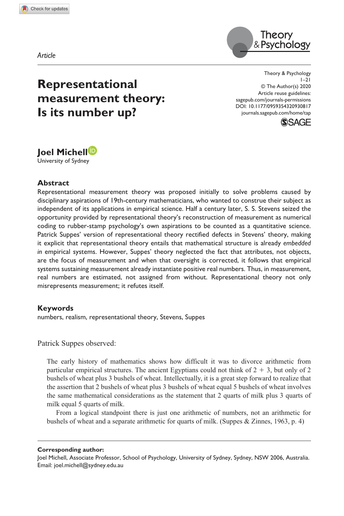**930817** TAP0010.1177/0959354320930817Theory & Psychology**Michell**



# **Representational measurement theory: Is its number up?**

https://doi.org/10.1177/0959354320930817 DOI: 10.1177/0959354320930817 Theory & Psychology  $1 - 21$ © The Author(s) 2020 Article reuse guidelines: sagepub.com/journals-permissions journals.sagepub.com/home/tap



# **Joel Michell<sup>D</sup>**

University of Sydney

#### **Abstract**

Representational measurement theory was proposed initially to solve problems caused by disciplinary aspirations of 19th-century mathematicians, who wanted to construe their subject as independent of its applications in empirical science. Half a century later, S. S. Stevens seized the opportunity provided by representational theory's reconstruction of measurement as numerical coding to rubber-stamp psychology's own aspirations to be counted as a quantitative science. Patrick Suppes' version of representational theory rectified defects in Stevens' theory, making it explicit that representational theory entails that mathematical structure is already *embedded in* empirical systems. However, Suppes' theory neglected the fact that attributes, not objects, are the focus of measurement and when that oversight is corrected, it follows that empirical systems sustaining measurement already instantiate positive real numbers. Thus, in measurement, real numbers are estimated, not assigned from without. Representational theory not only misrepresents measurement; it refutes itself.

#### **Keywords**

numbers, realism, representational theory, Stevens, Suppes

Patrick Suppes observed:

The early history of mathematics shows how difficult it was to divorce arithmetic from particular empirical structures. The ancient Egyptians could not think of  $2 + 3$ , but only of 2 bushels of wheat plus 3 bushels of wheat. Intellectually, it is a great step forward to realize that the assertion that 2 bushels of wheat plus 3 bushels of wheat equal 5 bushels of wheat involves the same mathematical considerations as the statement that 2 quarts of milk plus 3 quarts of milk equal 5 quarts of milk.

From a logical standpoint there is just one arithmetic of numbers, not an arithmetic for bushels of wheat and a separate arithmetic for quarts of milk. (Suppes & Zinnes, 1963, p. 4)

#### **Corresponding author:**

Joel Michell, Associate Professor, School of Psychology, University of Sydney, Sydney, NSW 2006, Australia. Email: joel.michell@sydney.edu.au

*Article*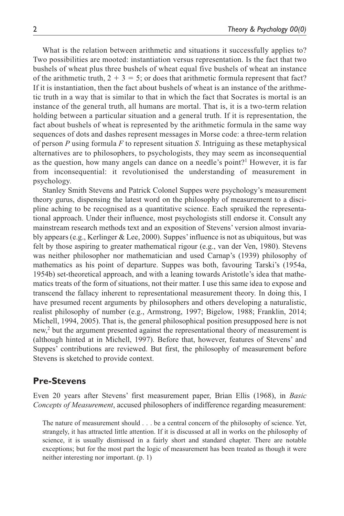What is the relation between arithmetic and situations it successfully applies to? Two possibilities are mooted: instantiation versus representation. Is the fact that two bushels of wheat plus three bushels of wheat equal five bushels of wheat an instance of the arithmetic truth,  $2 + 3 = 5$ ; or does that arithmetic formula represent that fact? If it is instantiation, then the fact about bushels of wheat is an instance of the arithmetic truth in a way that is similar to that in which the fact that Socrates is mortal is an instance of the general truth, all humans are mortal. That is, it is a two-term relation holding between a particular situation and a general truth. If it is representation, the fact about bushels of wheat is represented by the arithmetic formula in the same way sequences of dots and dashes represent messages in Morse code: a three-term relation of person *P* using formula *F* to represent situation *S*. Intriguing as these metaphysical alternatives are to philosophers, to psychologists, they may seem as inconsequential as the question, how many angels can dance on a needle's point?<sup>1</sup> However, it is far from inconsequential: it revolutionised the understanding of measurement in psychology.

Stanley Smith Stevens and Patrick Colonel Suppes were psychology's measurement theory gurus, dispensing the latest word on the philosophy of measurement to a discipline aching to be recognised as a quantitative science. Each spruiked the representational approach. Under their influence, most psychologists still endorse it. Consult any mainstream research methods text and an exposition of Stevens' version almost invariably appears (e.g., Kerlinger & Lee, 2000). Suppes' influence is not as ubiquitous, but was felt by those aspiring to greater mathematical rigour (e.g., van der Ven, 1980). Stevens was neither philosopher nor mathematician and used Carnap's (1939) philosophy of mathematics as his point of departure. Suppes was both, favouring Tarski's (1954a, 1954b) set-theoretical approach, and with a leaning towards Aristotle's idea that mathematics treats of the form of situations, not their matter. I use this same idea to expose and transcend the fallacy inherent to representational measurement theory. In doing this, I have presumed recent arguments by philosophers and others developing a naturalistic, realist philosophy of number (e.g., Armstrong, 1997; Bigelow, 1988; Franklin, 2014; Michell, 1994, 2005). That is, the general philosophical position presupposed here is not new,<sup>2</sup> but the argument presented against the representational theory of measurement is (although hinted at in Michell, 1997). Before that, however, features of Stevens' and Suppes' contributions are reviewed. But first, the philosophy of measurement before Stevens is sketched to provide context.

### **Pre-Stevens**

Even 20 years after Stevens' first measurement paper, Brian Ellis (1968), in *Basic Concepts of Measurement*, accused philosophers of indifference regarding measurement:

The nature of measurement should . . . be a central concern of the philosophy of science. Yet, strangely, it has attracted little attention. If it is discussed at all in works on the philosophy of science, it is usually dismissed in a fairly short and standard chapter. There are notable exceptions; but for the most part the logic of measurement has been treated as though it were neither interesting nor important. (p. 1)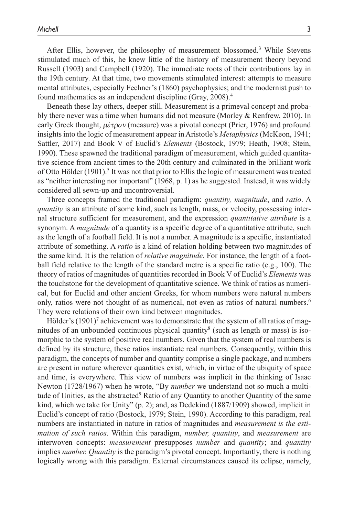After Ellis, however, the philosophy of measurement blossomed.<sup>3</sup> While Stevens stimulated much of this, he knew little of the history of measurement theory beyond Russell (1903) and Campbell (1920). The immediate roots of their contributions lay in the 19th century. At that time, two movements stimulated interest: attempts to measure mental attributes, especially Fechner's (1860) psychophysics; and the modernist push to found mathematics as an independent discipline (Gray, 2008).<sup>4</sup>

Beneath these lay others, deeper still. Measurement is a primeval concept and probably there never was a time when humans did not measure (Morley & Renfrew, 2010). In early Greek thought, μ*έ*τρ*ο*ν (measure) was a pivotal concept (Prier, 1976) and profound insights into the logic of measurement appear in Aristotle's *Metaphysics* (McKeon, 1941; Sattler, 2017) and Book V of Euclid's *Elements* (Bostock, 1979; Heath, 1908; Stein, 1990). These spawned the traditional paradigm of measurement, which guided quantitative science from ancient times to the 20th century and culminated in the brilliant work of Otto Hölder (1901).<sup>5</sup> It was not that prior to Ellis the logic of measurement was treated as "neither interesting nor important" (1968, p. 1) as he suggested. Instead, it was widely considered all sewn-up and uncontroversial.

Three concepts framed the traditional paradigm: *quantity, magnitude*, and *ratio*. A *quantity* is an attribute of some kind, such as length, mass, or velocity, possessing internal structure sufficient for measurement, and the expression *quantitative attribute* is a synonym. A *magnitude* of a quantity is a specific degree of a quantitative attribute, such as the length of a football field. It is not a number. A magnitude is a specific, instantiated attribute of something. A *ratio* is a kind of relation holding between two magnitudes of the same kind. It is the relation of *relative magnitude*. For instance, the length of a football field relative to the length of the standard metre is a specific ratio (e.g., 100). The theory of ratios of magnitudes of quantities recorded in Book V of Euclid's *Elements* was the touchstone for the development of quantitative science. We think of ratios as numerical, but for Euclid and other ancient Greeks, for whom numbers were natural numbers only, ratios were not thought of as numerical, not even as ratios of natural numbers.<sup>6</sup> They were relations of their own kind between magnitudes.

Hölder's  $(1901)^7$  achievement was to demonstrate that the system of all ratios of magnitudes of an unbounded continuous physical quantity<sup>8</sup> (such as length or mass) is isomorphic to the system of positive real numbers. Given that the system of real numbers is defined by its structure, these ratios instantiate real numbers. Consequently, within this paradigm, the concepts of number and quantity comprise a single package, and numbers are present in nature wherever quantities exist, which, in virtue of the ubiquity of space and time, is everywhere. This view of numbers was implicit in the thinking of Isaac Newton (1728/1967) when he wrote, "By *number* we understand not so much a multitude of Unities, as the abstracted<sup>9</sup> Ratio of any Quantity to another Quantity of the same kind, which we take for Unity" (p. 2); and, as Dedekind (1887/1909) showed, implicit in Euclid's concept of ratio (Bostock, 1979; Stein, 1990). According to this paradigm, real numbers are instantiated in nature in ratios of magnitudes and *measurement is the estimation of such ratios*. Within this paradigm, *number, quantity*, and *measurement* are interwoven concepts: *measurement* presupposes *number* and *quantity*; and *quantity* implies *number. Quantity* is the paradigm's pivotal concept. Importantly, there is nothing logically wrong with this paradigm. External circumstances caused its eclipse, namely,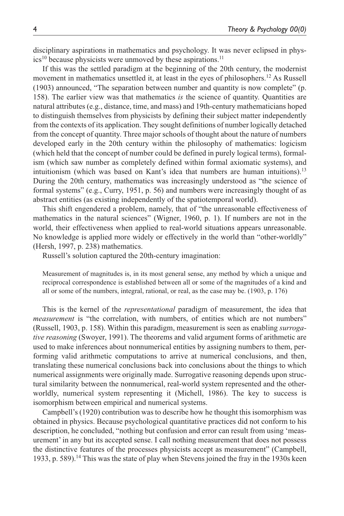disciplinary aspirations in mathematics and psychology. It was never eclipsed in phys $ics<sup>10</sup>$  because physicists were unmoved by these aspirations.<sup>11</sup>

If this was the settled paradigm at the beginning of the 20th century, the modernist movement in mathematics unsettled it, at least in the eyes of philosophers.<sup>12</sup> As Russell (1903) announced, "The separation between number and quantity is now complete" (p. 158). The earlier view was that mathematics *is* the science of quantity. Quantities are natural attributes (e.g., distance, time, and mass) and 19th-century mathematicians hoped to distinguish themselves from physicists by defining their subject matter independently from the contexts of its application. They sought definitions of number logically detached from the concept of quantity. Three major schools of thought about the nature of numbers developed early in the 20th century within the philosophy of mathematics: logicism (which held that the concept of number could be defined in purely logical terms), formalism (which saw number as completely defined within formal axiomatic systems), and intuitionism (which was based on Kant's idea that numbers are human intuitions).<sup>13</sup> During the 20th century, mathematics was increasingly understood as "the science of formal systems" (e.g., Curry, 1951, p. 56) and numbers were increasingly thought of as abstract entities (as existing independently of the spatiotemporal world).

This shift engendered a problem, namely, that of "the unreasonable effectiveness of mathematics in the natural sciences" (Wigner, 1960, p. 1). If numbers are not in the world, their effectiveness when applied to real-world situations appears unreasonable. No knowledge is applied more widely or effectively in the world than "other-worldly" (Hersh, 1997, p. 238) mathematics.

Russell's solution captured the 20th-century imagination:

Measurement of magnitudes is, in its most general sense, any method by which a unique and reciprocal correspondence is established between all or some of the magnitudes of a kind and all or some of the numbers, integral, rational, or real, as the case may be. (1903, p. 176)

This is the kernel of the *representational* paradigm of measurement, the idea that *measurement* is "the correlation, with numbers, of entities which are not numbers" (Russell, 1903, p. 158). Within this paradigm, measurement is seen as enabling *surrogative reasoning* (Swoyer, 1991). The theorems and valid argument forms of arithmetic are used to make inferences about nonnumerical entities by assigning numbers to them, performing valid arithmetic computations to arrive at numerical conclusions, and then, translating these numerical conclusions back into conclusions about the things to which numerical assignments were originally made. Surrogative reasoning depends upon structural similarity between the nonnumerical, real-world system represented and the otherworldly, numerical system representing it (Michell, 1986). The key to success is isomorphism between empirical and numerical systems.

Campbell's (1920) contribution was to describe how he thought this isomorphism was obtained in physics. Because psychological quantitative practices did not conform to his description, he concluded, "nothing but confusion and error can result from using 'measurement' in any but its accepted sense. I call nothing measurement that does not possess the distinctive features of the processes physicists accept as measurement" (Campbell, 1933, p. 589).<sup>14</sup> This was the state of play when Stevens joined the fray in the 1930s keen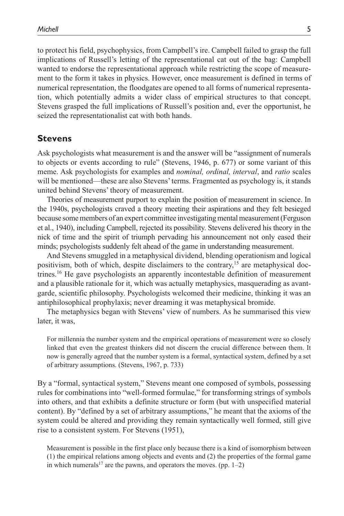to protect his field, psychophysics, from Campbell's ire. Campbell failed to grasp the full implications of Russell's letting of the representational cat out of the bag: Campbell wanted to endorse the representational approach while restricting the scope of measurement to the form it takes in physics. However, once measurement is defined in terms of numerical representation, the floodgates are opened to all forms of numerical representation, which potentially admits a wider class of empirical structures to that concept. Stevens grasped the full implications of Russell's position and, ever the opportunist, he seized the representationalist cat with both hands.

#### **Stevens**

Ask psychologists what measurement is and the answer will be "assignment of numerals to objects or events according to rule" (Stevens, 1946, p. 677) or some variant of this meme. Ask psychologists for examples and *nominal, ordinal, interval*, and *ratio* scales will be mentioned—these are also Stevens' terms. Fragmented as psychology is, it stands united behind Stevens' theory of measurement.

Theories of measurement purport to explain the position of measurement in science. In the 1940s, psychologists craved a theory meeting their aspirations and they felt besieged because some members of an expert committee investigating mental measurement (Ferguson et al., 1940), including Campbell, rejected its possibility. Stevens delivered his theory in the nick of time and the spirit of triumph pervading his announcement not only eased their minds; psychologists suddenly felt ahead of the game in understanding measurement.

And Stevens smuggled in a metaphysical dividend, blending operationism and logical positivism, both of which, despite disclaimers to the contrary,<sup>15</sup> are metaphysical doctrines.<sup>16</sup> He gave psychologists an apparently incontestable definition of measurement and a plausible rationale for it, which was actually metaphysics, masquerading as avantgarde, scientific philosophy. Psychologists welcomed their medicine, thinking it was an antiphilosophical prophylaxis; never dreaming it was metaphysical bromide.

The metaphysics began with Stevens' view of numbers. As he summarised this view later, it was,

For millennia the number system and the empirical operations of measurement were so closely linked that even the greatest thinkers did not discern the crucial difference between them. It now is generally agreed that the number system is a formal, syntactical system, defined by a set of arbitrary assumptions. (Stevens, 1967, p. 733)

By a "formal, syntactical system," Stevens meant one composed of symbols, possessing rules for combinations into "well-formed formulae," for transforming strings of symbols into others, and that exhibits a definite structure or form (but with unspecified material content). By "defined by a set of arbitrary assumptions," he meant that the axioms of the system could be altered and providing they remain syntactically well formed, still give rise to a consistent system. For Stevens (1951),

Measurement is possible in the first place only because there is a kind of isomorphism between (1) the empirical relations among objects and events and (2) the properties of the formal game in which numerals<sup>17</sup> are the pawns, and operators the moves. (pp.  $1-2$ )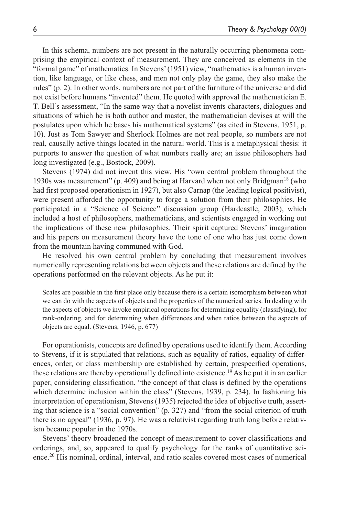In this schema, numbers are not present in the naturally occurring phenomena comprising the empirical context of measurement. They are conceived as elements in the "formal game" of mathematics. In Stevens' (1951) view, "mathematics is a human invention, like language, or like chess, and men not only play the game, they also make the rules" (p. 2). In other words, numbers are not part of the furniture of the universe and did not exist before humans "invented" them. He quoted with approval the mathematician E. T. Bell's assessment, "In the same way that a novelist invents characters, dialogues and situations of which he is both author and master, the mathematician devises at will the postulates upon which he bases his mathematical systems" (as cited in Stevens, 1951, p. 10). Just as Tom Sawyer and Sherlock Holmes are not real people, so numbers are not real, causally active things located in the natural world. This is a metaphysical thesis: it purports to answer the question of what numbers really are; an issue philosophers had long investigated (e.g., Bostock, 2009).

Stevens (1974) did not invent this view. His "own central problem throughout the 1930s was measurement" (p. 409) and being at Harvard when not only Bridgman<sup>18</sup> (who had first proposed operationism in 1927), but also Carnap (the leading logical positivist), were present afforded the opportunity to forge a solution from their philosophies. He participated in a "Science of Science" discussion group (Hardcastle, 2003), which included a host of philosophers, mathematicians, and scientists engaged in working out the implications of these new philosophies. Their spirit captured Stevens' imagination and his papers on measurement theory have the tone of one who has just come down from the mountain having communed with God.

He resolved his own central problem by concluding that measurement involves numerically representing relations between objects and these relations are defined by the operations performed on the relevant objects. As he put it:

Scales are possible in the first place only because there is a certain isomorphism between what we can do with the aspects of objects and the properties of the numerical series. In dealing with the aspects of objects we invoke empirical operations for determining equality (classifying), for rank-ordering, and for determining when differences and when ratios between the aspects of objects are equal. (Stevens, 1946, p. 677)

For operationists, concepts are defined by operations used to identify them. According to Stevens, if it is stipulated that relations, such as equality of ratios, equality of differences, order, or class membership are established by certain, prespecified operations, these relations are thereby operationally defined into existence.<sup>19</sup> As he put it in an earlier paper, considering classification, "the concept of that class is defined by the operations which determine inclusion within the class" (Stevens, 1939, p. 234). In fashioning his interpretation of operationism, Stevens (1935) rejected the idea of objective truth, asserting that science is a "social convention" (p. 327) and "from the social criterion of truth there is no appeal" (1936, p. 97). He was a relativist regarding truth long before relativism became popular in the 1970s.

Stevens' theory broadened the concept of measurement to cover classifications and orderings, and, so, appeared to qualify psychology for the ranks of quantitative science.<sup>20</sup> His nominal, ordinal, interval, and ratio scales covered most cases of numerical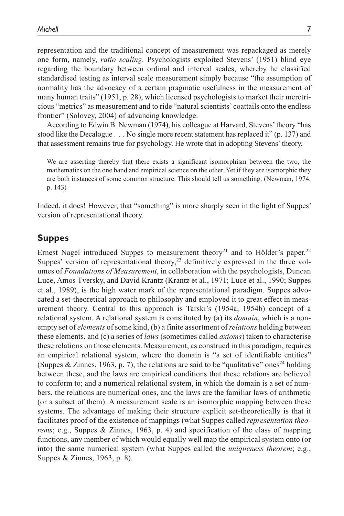representation and the traditional concept of measurement was repackaged as merely one form, namely, *ratio scaling*. Psychologists exploited Stevens' (1951) blind eye regarding the boundary between ordinal and interval scales, whereby he classified standardised testing as interval scale measurement simply because "the assumption of normality has the advocacy of a certain pragmatic usefulness in the measurement of many human traits" (1951, p. 28), which licensed psychologists to market their meretricious "metrics" as measurement and to ride "natural scientists' coattails onto the endless frontier" (Solovey, 2004) of advancing knowledge.

According to Edwin B. Newman (1974), his colleague at Harvard, Stevens' theory "has stood like the Decalogue . . . No single more recent statement has replaced it" (p. 137) and that assessment remains true for psychology. He wrote that in adopting Stevens' theory,

We are asserting thereby that there exists a significant isomorphism between the two, the mathematics on the one hand and empirical science on the other. Yet if they are isomorphic they are both instances of some common structure. This should tell us something. (Newman, 1974, p. 143)

Indeed, it does! However, that "something" is more sharply seen in the light of Suppes' version of representational theory.

#### **Suppes**

Ernest Nagel introduced Suppes to measurement theory<sup>21</sup> and to Hölder's paper.<sup>22</sup> Suppes' version of representational theory, $2<sup>3</sup>$  definitively expressed in the three volumes of *Foundations of Measurement*, in collaboration with the psychologists, Duncan Luce, Amos Tversky, and David Krantz (Krantz et al., 1971; Luce et al., 1990; Suppes et al., 1989), is the high water mark of the representational paradigm. Suppes advocated a set-theoretical approach to philosophy and employed it to great effect in measurement theory. Central to this approach is Tarski's (1954a, 1954b) concept of a relational system. A relational system is constituted by (a) its *domain*, which is a nonempty set of *elements* of some kind, (b) a finite assortment of *relations* holding between these elements, and (c) a series of *laws* (sometimes called *axioms*) taken to characterise these relations on those elements. Measurement, as construed in this paradigm, requires an empirical relational system, where the domain is "a set of identifiable entities" (Suppes & Zinnes, 1963, p. 7), the relations are said to be "qualitative" ones<sup>24</sup> holding between these, and the laws are empirical conditions that these relations are believed to conform to; and a numerical relational system, in which the domain is a set of numbers, the relations are numerical ones, and the laws are the familiar laws of arithmetic (or a subset of them). A measurement scale is an isomorphic mapping between these systems. The advantage of making their structure explicit set-theoretically is that it facilitates proof of the existence of mappings (what Suppes called *representation theorems*; e.g., Suppes & Zinnes, 1963, p. 4) and specification of the class of mapping functions, any member of which would equally well map the empirical system onto (or into) the same numerical system (what Suppes called the *uniqueness theorem*; e.g., Suppes & Zinnes, 1963, p. 8).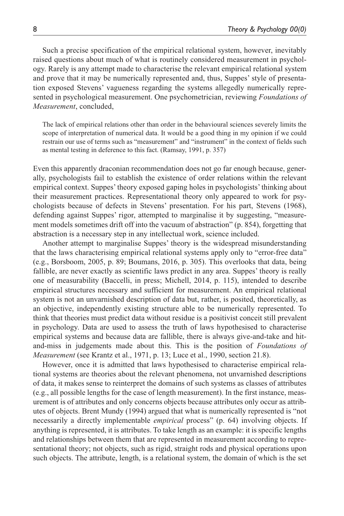Such a precise specification of the empirical relational system, however, inevitably raised questions about much of what is routinely considered measurement in psychology. Rarely is any attempt made to characterise the relevant empirical relational system and prove that it may be numerically represented and, thus, Suppes' style of presentation exposed Stevens' vagueness regarding the systems allegedly numerically represented in psychological measurement. One psychometrician, reviewing *Foundations of Measurement*, concluded,

The lack of empirical relations other than order in the behavioural sciences severely limits the scope of interpretation of numerical data. It would be a good thing in my opinion if we could restrain our use of terms such as "measurement" and "instrument" in the context of fields such as mental testing in deference to this fact. (Ramsay, 1991, p. 357)

Even this apparently draconian recommendation does not go far enough because, generally, psychologists fail to establish the existence of order relations within the relevant empirical context. Suppes' theory exposed gaping holes in psychologists' thinking about their measurement practices. Representational theory only appeared to work for psychologists because of defects in Stevens' presentation. For his part, Stevens (1968), defending against Suppes' rigor, attempted to marginalise it by suggesting, "measurement models sometimes drift off into the vacuum of abstraction" (p. 854), forgetting that abstraction is a necessary step in any intellectual work, science included.

Another attempt to marginalise Suppes' theory is the widespread misunderstanding that the laws characterising empirical relational systems apply only to "error-free data" (e.g., Borsboom, 2005, p. 89; Boumans, 2016, p. 305). This overlooks that data, being fallible, are never exactly as scientific laws predict in any area. Suppes' theory is really one of measurability (Baccelli, in press; Michell, 2014, p. 115), intended to describe empirical structures necessary and sufficient for measurement. An empirical relational system is not an unvarnished description of data but, rather, is posited, theoretically, as an objective, independently existing structure able to be numerically represented. To think that theories must predict data without residue is a positivist conceit still prevalent in psychology. Data are used to assess the truth of laws hypothesised to characterise empirical systems and because data are fallible, there is always give-and-take and hitand-miss in judgements made about this. This is the position of *Foundations of Measurement* (see Krantz et al., 1971, p. 13; Luce et al., 1990, section 21.8).

However, once it is admitted that laws hypothesised to characterise empirical relational systems are theories about the relevant phenomena, not unvarnished descriptions of data, it makes sense to reinterpret the domains of such systems as classes of attributes (e.g., all possible lengths for the case of length measurement). In the first instance, measurement is of attributes and only concerns objects because attributes only occur as attributes of objects. Brent Mundy (1994) argued that what is numerically represented is "not necessarily a directly implementable *empirical* process" (p. 64) involving objects. If anything is represented, it is attributes. To take length as an example: it is specific lengths and relationships between them that are represented in measurement according to representational theory; not objects, such as rigid, straight rods and physical operations upon such objects. The attribute, length, is a relational system, the domain of which is the set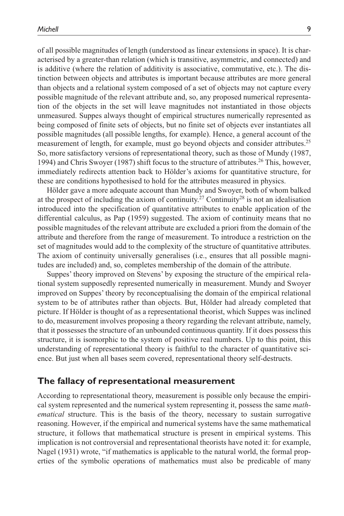of all possible magnitudes of length (understood as linear extensions in space). It is characterised by a greater-than relation (which is transitive, asymmetric, and connected) and is additive (where the relation of additivity is associative, commutative, etc.). The distinction between objects and attributes is important because attributes are more general than objects and a relational system composed of a set of objects may not capture every possible magnitude of the relevant attribute and, so, any proposed numerical representation of the objects in the set will leave magnitudes not instantiated in those objects unmeasured. Suppes always thought of empirical structures numerically represented as being composed of finite sets of objects, but no finite set of objects ever instantiates all possible magnitudes (all possible lengths, for example). Hence, a general account of the measurement of length, for example, must go beyond objects and consider attributes.<sup>25</sup> So, more satisfactory versions of representational theory, such as those of Mundy (1987, 1994) and Chris Swoyer (1987) shift focus to the structure of attributes.<sup>26</sup> This, however, immediately redirects attention back to Hölder's axioms for quantitative structure, for these are conditions hypothesised to hold for the attributes measured in physics.

Hölder gave a more adequate account than Mundy and Swoyer, both of whom balked at the prospect of including the axiom of continuity.<sup>27</sup> Continuity<sup>28</sup> is not an idealisation introduced into the specification of quantitative attributes to enable application of the differential calculus, as Pap (1959) suggested. The axiom of continuity means that no possible magnitudes of the relevant attribute are excluded a priori from the domain of the attribute and therefore from the range of measurement. To introduce a restriction on the set of magnitudes would add to the complexity of the structure of quantitative attributes. The axiom of continuity universally generalises (i.e., ensures that all possible magnitudes are included) and, so, completes membership of the domain of the attribute.

Suppes' theory improved on Stevens' by exposing the structure of the empirical relational system supposedly represented numerically in measurement. Mundy and Swoyer improved on Suppes' theory by reconceptualising the domain of the empirical relational system to be of attributes rather than objects. But, Hölder had already completed that picture. If Hölder is thought of as a representational theorist, which Suppes was inclined to do, measurement involves proposing a theory regarding the relevant attribute, namely, that it possesses the structure of an unbounded continuous quantity. If it does possess this structure, it is isomorphic to the system of positive real numbers. Up to this point, this understanding of representational theory is faithful to the character of quantitative science. But just when all bases seem covered, representational theory self-destructs.

#### **The fallacy of representational measurement**

According to representational theory, measurement is possible only because the empirical system represented and the numerical system representing it, possess the same *mathematical* structure. This is the basis of the theory, necessary to sustain surrogative reasoning. However, if the empirical and numerical systems have the same mathematical structure, it follows that mathematical structure is present in empirical systems. This implication is not controversial and representational theorists have noted it: for example, Nagel (1931) wrote, "if mathematics is applicable to the natural world, the formal properties of the symbolic operations of mathematics must also be predicable of many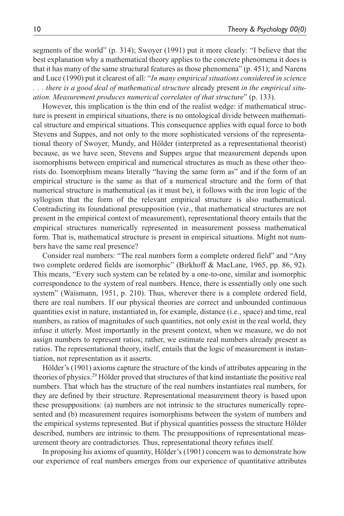segments of the world" (p. 314); Swoyer (1991) put it more clearly: "I believe that the best explanation why a mathematical theory applies to the concrete phenomena it does is that it has many of the same structural features as those phenomena" (p. 451); and Narens and Luce (1990) put it clearest of all: "*In many empirical situations considered in science . . . there is a good deal of mathematical structure* already present *in the empirical situation. Measurement produces numerical correlates of that structure*" (p. 133).

However, this implication is the thin end of the realist wedge: if mathematical structure is present in empirical situations, there is no ontological divide between mathematical structure and empirical situations. This consequence applies with equal force to both Stevens and Suppes, and not only to the more sophisticated versions of the representational theory of Swoyer, Mundy, and Hölder (interpreted as a representational theorist) because, as we have seen, Stevens and Suppes argue that measurement depends upon isomorphisms between empirical and numerical structures as much as these other theorists do. Isomorphism means literally "having the same form as" and if the form of an empirical structure is the same as that of a numerical structure and the form of that numerical structure is mathematical (as it must be), it follows with the iron logic of the syllogism that the form of the relevant empirical structure is also mathematical. Contradicting its foundational presupposition (viz., that mathematical structures are not present in the empirical context of measurement), representational theory entails that the empirical structures numerically represented in measurement possess mathematical form. That is, mathematical structure is present in empirical situations. Might not numbers have the same real presence?

Consider real numbers: "The real numbers form a complete ordered field" and "Any two complete ordered fields are isomorphic" (Birkhoff & MacLane, 1965, pp. 86, 92). This means, "Every such system can be related by a one-to-one, similar and isomorphic correspondence to the system of real numbers. Hence, there is essentially only one such system" (Waismann, 1951, p. 210). Thus, wherever there is a complete ordered field, there are real numbers. If our physical theories are correct and unbounded continuous quantities exist in nature, instantiated in, for example, distance (i.e., space) and time, real numbers, as ratios of magnitudes of such quantities, not only exist in the real world, they infuse it utterly. Most importantly in the present context, when we measure, we do not assign numbers to represent ratios; rather, we estimate real numbers already present as ratios. The representational theory, itself, entails that the logic of measurement is instantiation, not representation as it asserts.

Hölder's (1901) axioms capture the structure of the kinds of attributes appearing in the theories of physics.<sup>29</sup> Hölder proved that structures of that kind instantiate the positive real numbers. That which has the structure of the real numbers instantiates real numbers, for they are defined by their structure. Representational measurement theory is based upon these presuppositions: (a) numbers are not intrinsic to the structures numerically represented and (b) measurement requires isomorphisms between the system of numbers and the empirical systems represented. But if physical quantities possess the structure Hölder described, numbers are intrinsic to them. The presuppositions of representational measurement theory are contradictories. Thus, representational theory refutes itself.

In proposing his axioms of quantity, Hölder's (1901) concern was to demonstrate how our experience of real numbers emerges from our experience of quantitative attributes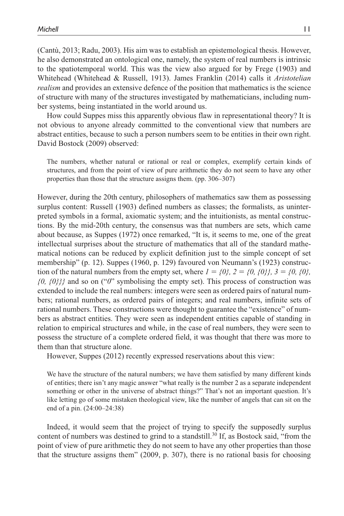(Cantù, 2013; Radu, 2003). His aim was to establish an epistemological thesis. However, he also demonstrated an ontological one, namely, the system of real numbers is intrinsic to the spatiotemporal world. This was the view also argued for by Frege (1903) and Whitehead (Whitehead & Russell, 1913). James Franklin (2014) calls it *Aristotelian realism* and provides an extensive defence of the position that mathematics is the science of structure with many of the structures investigated by mathematicians, including number systems, being instantiated in the world around us.

How could Suppes miss this apparently obvious flaw in representational theory? It is not obvious to anyone already committed to the conventional view that numbers are abstract entities, because to such a person numbers seem to be entities in their own right. David Bostock (2009) observed:

The numbers, whether natural or rational or real or complex, exemplify certain kinds of structures, and from the point of view of pure arithmetic they do not seem to have any other properties than those that the structure assigns them. (pp. 306–307)

However, during the 20th century, philosophers of mathematics saw them as possessing surplus content: Russell (1903) defined numbers as classes; the formalists, as uninterpreted symbols in a formal, axiomatic system; and the intuitionists, as mental constructions. By the mid-20th century, the consensus was that numbers are sets, which came about because, as Suppes (1972) once remarked, "It is, it seems to me, one of the great intellectual surprises about the structure of mathematics that all of the standard mathematical notions can be reduced by explicit definition just to the simple concept of set membership" (p. 12). Suppes (1960, p. 129) favoured von Neumann's (1923) construction of the natural numbers from the empty set, where  $I = \{0\}$ ,  $2 = \{0, \{0\}\}$ ,  $3 = \{0, \{0\}$ , *{0, {0}}}* and so on ("*0*" symbolising the empty set). This process of construction was extended to include the real numbers: integers were seen as ordered pairs of natural numbers; rational numbers, as ordered pairs of integers; and real numbers, infinite sets of rational numbers. These constructions were thought to guarantee the "existence" of numbers as abstract entities. They were seen as independent entities capable of standing in relation to empirical structures and while, in the case of real numbers, they were seen to possess the structure of a complete ordered field, it was thought that there was more to them than that structure alone.

However, Suppes (2012) recently expressed reservations about this view:

We have the structure of the natural numbers; we have them satisfied by many different kinds of entities; there isn't any magic answer "what really is the number 2 as a separate independent something or other in the universe of abstract things?" That's not an important question. It's like letting go of some mistaken theological view, like the number of angels that can sit on the end of a pin. (24:00–24:38)

Indeed, it would seem that the project of trying to specify the supposedly surplus content of numbers was destined to grind to a standstill.<sup>30</sup> If, as Bostock said, "from the point of view of pure arithmetic they do not seem to have any other properties than those that the structure assigns them" (2009, p. 307), there is no rational basis for choosing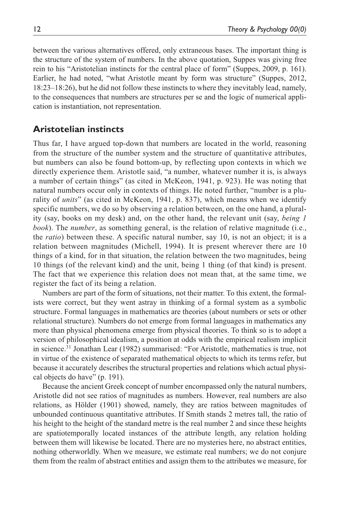between the various alternatives offered, only extraneous bases. The important thing is the structure of the system of numbers. In the above quotation, Suppes was giving free rein to his "Aristotelian instincts for the central place of form" (Suppes, 2009, p. 161). Earlier, he had noted, "what Aristotle meant by form was structure" (Suppes, 2012, 18:23–18:26), but he did not follow these instincts to where they inevitably lead, namely, to the consequences that numbers are structures per se and the logic of numerical application is instantiation, not representation.

# **Aristotelian instincts**

Thus far, I have argued top-down that numbers are located in the world, reasoning from the structure of the number system and the structure of quantitative attributes, but numbers can also be found bottom-up, by reflecting upon contexts in which we directly experience them. Aristotle said, "a number, whatever number it is, is always a number of certain things" (as cited in McKeon, 1941, p. 923). He was noting that natural numbers occur only in contexts of things. He noted further, "number is a plurality of *units*" (as cited in McKeon, 1941, p. 837), which means when we identify specific numbers, we do so by observing a relation between, on the one hand, a plurality (say, books on my desk) and, on the other hand, the relevant unit (say, *being 1 book*). The *number*, as something general, is the relation of relative magnitude (i.e., the *ratio*) between these. A specific natural number, say 10, is not an object; it is a relation between magnitudes (Michell, 1994). It is present wherever there are 10 things of a kind, for in that situation, the relation between the two magnitudes, being 10 things (of the relevant kind) and the unit, being 1 thing (of that kind) is present. The fact that we experience this relation does not mean that, at the same time, we register the fact of its being a relation.

Numbers are part of the form of situations, not their matter. To this extent, the formalists were correct, but they went astray in thinking of a formal system as a symbolic structure. Formal languages in mathematics are theories (about numbers or sets or other relational structure). Numbers do not emerge from formal languages in mathematics any more than physical phenomena emerge from physical theories. To think so is to adopt a version of philosophical idealism, a position at odds with the empirical realism implicit in science.<sup>31</sup> Jonathan Lear (1982) summarised: "For Aristotle, mathematics is true, not in virtue of the existence of separated mathematical objects to which its terms refer, but because it accurately describes the structural properties and relations which actual physical objects do have" (p. 191).

Because the ancient Greek concept of number encompassed only the natural numbers, Aristotle did not see ratios of magnitudes as numbers. However, real numbers are also relations, as Hölder (1901) showed, namely, they are ratios between magnitudes of unbounded continuous quantitative attributes. If Smith stands 2 metres tall, the ratio of his height to the height of the standard metre is the real number 2 and since these heights are spatiotemporally located instances of the attribute length, any relation holding between them will likewise be located. There are no mysteries here, no abstract entities, nothing otherworldly. When we measure, we estimate real numbers; we do not conjure them from the realm of abstract entities and assign them to the attributes we measure, for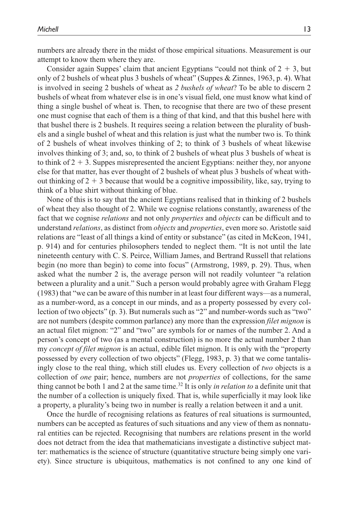numbers are already there in the midst of those empirical situations. Measurement is our attempt to know them where they are.

Consider again Suppes' claim that ancient Egyptians "could not think of  $2 + 3$ , but only of 2 bushels of wheat plus 3 bushels of wheat" (Suppes & Zinnes, 1963, p. 4). What is involved in seeing 2 bushels of wheat as *2 bushels of wheat*? To be able to discern 2 bushels of wheat from whatever else is in one's visual field, one must know what kind of thing a single bushel of wheat is. Then, to recognise that there are two of these present one must cognise that each of them is a thing of that kind, and that this bushel here with that bushel there is 2 bushels. It requires seeing a relation between the plurality of bushels and a single bushel of wheat and this relation is just what the number two is. To think of 2 bushels of wheat involves thinking of 2; to think of 3 bushels of wheat likewise involves thinking of 3; and, so, to think of 2 bushels of wheat plus 3 bushels of wheat is to think of  $2 + 3$ . Suppes misrepresented the ancient Egyptians: neither they, nor anyone else for that matter, has ever thought of 2 bushels of wheat plus 3 bushels of wheat without thinking of  $2 + 3$  because that would be a cognitive impossibility, like, say, trying to think of a blue shirt without thinking of blue.

None of this is to say that the ancient Egyptians realised that in thinking of 2 bushels of wheat they also thought of 2. While we cognise relations constantly, awareness of the fact that we cognise *relations* and not only *properties* and *objects* can be difficult and to understand *relations*, as distinct from *objects* and *properties*, even more so. Aristotle said relations are "least of all things a kind of entity or substance" (as cited in McKeon, 1941, p. 914) and for centuries philosophers tended to neglect them. "It is not until the late nineteenth century with C. S. Peirce, William James, and Bertrand Russell that relations begin (no more than begin) to come into focus" (Armstrong, 1989, p. 29). Thus, when asked what the number 2 is, the average person will not readily volunteer "a relation between a plurality and a unit." Such a person would probably agree with Graham Flegg (1983) that "we can be aware of this number in at least four different ways—as a numeral, as a number-word, as a concept in our minds, and as a property possessed by every collection of two objects" (p. 3). But numerals such as "2" and number-words such as "two" are not numbers (despite common parlance) any more than the expression *filet mignon* is an actual filet mignon: "2" and "two" are symbols for or names of the number 2. And a person's concept of two (as a mental construction) is no more the actual number 2 than my *concept of filet mignon* is an actual, edible filet mignon. It is only with the "property possessed by every collection of two objects" (Flegg, 1983, p. 3) that we come tantalisingly close to the real thing, which still eludes us. Every collection of *two* objects is a collection of *one* pair; hence, numbers are not *properties* of collections, for the same thing cannot be both 1 and 2 at the same time.<sup>32</sup> It is only *in relation to* a definite unit that the number of a collection is uniquely fixed. That is, while superficially it may look like a property, a plurality's being two in number is really a relation between it and a unit.

Once the hurdle of recognising relations as features of real situations is surmounted, numbers can be accepted as features of such situations and any view of them as nonnatural entities can be rejected. Recognising that numbers are relations present in the world does not detract from the idea that mathematicians investigate a distinctive subject matter: mathematics is the science of structure (quantitative structure being simply one variety). Since structure is ubiquitous, mathematics is not confined to any one kind of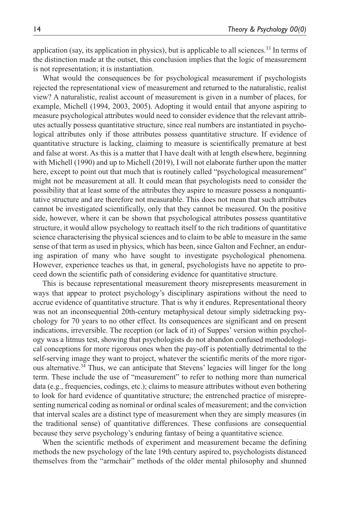application (say, its application in physics), but is applicable to all sciences.<sup>33</sup> In terms of the distinction made at the outset, this conclusion implies that the logic of measurement is not representation; it is instantiation.

What would the consequences be for psychological measurement if psychologists rejected the representational view of measurement and returned to the naturalistic, realist view? A naturalistic, realist account of measurement is given in a number of places, for example, Michell (1994, 2003, 2005). Adopting it would entail that anyone aspiring to measure psychological attributes would need to consider evidence that the relevant attributes actually possess quantitative structure, since real numbers are instantiated in psychological attributes only if those attributes possess quantitative structure. If evidence of quantitative structure is lacking, claiming to measure is scientifically premature at best and false at worst. As this is a matter that I have dealt with at length elsewhere, beginning with Michell (1990) and up to Michell (2019), I will not elaborate further upon the matter here, except to point out that much that is routinely called "psychological measurement" might not be measurement at all. It could mean that psychologists need to consider the possibility that at least some of the attributes they aspire to measure possess a nonquantitative structure and are therefore not measurable. This does not mean that such attributes cannot be investigated scientifically, only that they cannot be measured. On the positive side, however, where it can be shown that psychological attributes possess quantitative structure, it would allow psychology to reattach itself to the rich traditions of quantitative science characterising the physical sciences and to claim to be able to measure in the same sense of that term as used in physics, which has been, since Galton and Fechner, an enduring aspiration of many who have sought to investigate psychological phenomena. However, experience teaches us that, in general, psychologists have no appetite to proceed down the scientific path of considering evidence for quantitative structure.

This is because representational measurement theory misrepresents measurement in ways that appear to protect psychology's disciplinary aspirations without the need to accrue evidence of quantitative structure. That is why it endures. Representational theory was not an inconsequential 20th-century metaphysical detour simply sidetracking psychology for 70 years to no other effect. Its consequences are significant and on present indications, irreversible. The reception (or lack of it) of Suppes' version within psychology was a litmus test, showing that psychologists do not abandon confused methodological conceptions for more rigorous ones when the pay-off is potentially detrimental to the self-serving image they want to project, whatever the scientific merits of the more rigorous alternative.<sup>34</sup> Thus, we can anticipate that Stevens' legacies will linger for the long term. These include the use of "measurement" to refer to nothing more than numerical data (e.g., frequencies, codings, etc.); claims to measure attributes without even bothering to look for hard evidence of quantitative structure; the entrenched practice of misrepresenting numerical coding as nominal or ordinal scales of measurement; and the conviction that interval scales are a distinct type of measurement when they are simply measures (in the traditional sense) of quantitative differences. These confusions are consequential because they serve psychology's enduring fantasy of being a quantitative science.

When the scientific methods of experiment and measurement became the defining methods the new psychology of the late 19th century aspired to, psychologists distanced themselves from the "armchair" methods of the older mental philosophy and shunned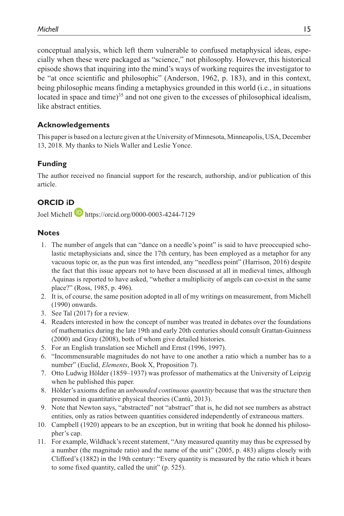conceptual analysis, which left them vulnerable to confused metaphysical ideas, especially when these were packaged as "science," not philosophy. However, this historical episode shows that inquiring into the mind's ways of working requires the investigator to be "at once scientific and philosophic" (Anderson, 1962, p. 183), and in this context, being philosophic means finding a metaphysics grounded in this world (i.e., in situations located in space and time)<sup>35</sup> and not one given to the excesses of philosophical idealism, like abstract entities.

#### **Acknowledgements**

This paper is based on a lecture given at the University of Minnesota, Minneapolis, USA, December 13, 2018. My thanks to Niels Waller and Leslie Yonce.

#### **Funding**

The author received no financial support for the research, authorship, and/or publication of this article.

## **ORCID iD**

Joel Michell https://orcid.org/0000-0003-4244-7129

#### **Notes**

- 1. The number of angels that can "dance on a needle's point" is said to have preoccupied scholastic metaphysicians and, since the 17th century, has been employed as a metaphor for any vacuous topic or, as the pun was first intended, any "needless point" (Harrison, 2016) despite the fact that this issue appears not to have been discussed at all in medieval times, although Aquinas is reported to have asked, "whether a multiplicity of angels can co-exist in the same place?" (Ross, 1985, p. 496).
- 2. It is, of course, the same position adopted in all of my writings on measurement, from Michell (1990) onwards.
- 3. See Tal (2017) for a review.
- 4. Readers interested in how the concept of number was treated in debates over the foundations of mathematics during the late 19th and early 20th centuries should consult Grattan-Guinness (2000) and Gray (2008), both of whom give detailed histories.
- 5. For an English translation see Michell and Ernst (1996, 1997).
- 6. "Incommensurable magnitudes do not have to one another a ratio which a number has to a number" (Euclid, *Elements*, Book X, Proposition 7).
- 7. Otto Ludwig Hölder (1859–1937) was professor of mathematics at the University of Leipzig when he published this paper.
- 8. Hölder's axioms define an *unbounded continuous quantity* because that was the structure then presumed in quantitative physical theories (Cantù, 2013).
- 9. Note that Newton says, "abstracted" not "abstract" that is, he did not see numbers as abstract entities, only as ratios between quantities considered independently of extraneous matters.
- 10. Campbell (1920) appears to be an exception, but in writing that book he donned his philosopher's cap.
- 11. For example, Wildhack's recent statement, "Any measured quantity may thus be expressed by a number (the magnitude ratio) and the name of the unit" (2005, p. 483) aligns closely with Clifford's (1882) in the 19th century: "Every quantity is measured by the ratio which it bears to some fixed quantity, called the unit" (p. 525).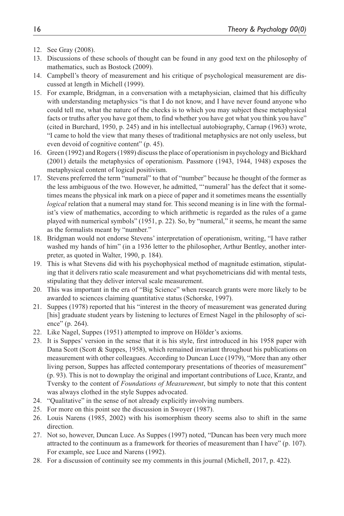- 12. See Gray (2008).
- 13. Discussions of these schools of thought can be found in any good text on the philosophy of mathematics, such as Bostock (2009).
- 14. Campbell's theory of measurement and his critique of psychological measurement are discussed at length in Michell (1999).
- 15. For example, Bridgman, in a conversation with a metaphysician, claimed that his difficulty with understanding metaphysics "is that I do not know, and I have never found anyone who could tell me, what the nature of the checks is to which you may subject these metaphysical facts or truths after you have got them, to find whether you have got what you think you have" (cited in Burchard, 1950, p. 245) and in his intellectual autobiography, Carnap (1963) wrote, "I came to hold the view that many theses of traditional metaphysics are not only useless, but even devoid of cognitive content" (p. 45).
- 16. Green (1992) and Rogers (1989) discuss the place of operationism in psychology and Bickhard (2001) details the metaphysics of operationism. Passmore (1943, 1944, 1948) exposes the metaphysical content of logical positivism.
- 17. Stevens preferred the term "numeral" to that of "number" because he thought of the former as the less ambiguous of the two. However, he admitted, "'numeral' has the defect that it sometimes means the physical ink mark on a piece of paper and it sometimes means the essentially *logical* relation that a numeral may stand for. This second meaning is in line with the formalist's view of mathematics, according to which arithmetic is regarded as the rules of a game played with numerical symbols" (1951, p. 22). So, by "numeral," it seems, he meant the same as the formalists meant by "number."
- 18. Bridgman would not endorse Stevens' interpretation of operationism, writing, "I have rather washed my hands of him" (in a 1936 letter to the philosopher, Arthur Bentley, another interpreter, as quoted in Walter, 1990, p. 184).
- 19. This is what Stevens did with his psychophysical method of magnitude estimation, stipulating that it delivers ratio scale measurement and what psychometricians did with mental tests, stipulating that they deliver interval scale measurement.
- 20. This was important in the era of "Big Science" when research grants were more likely to be awarded to sciences claiming quantitative status (Schorske, 1997).
- 21. Suppes (1978) reported that his "interest in the theory of measurement was generated during [his] graduate student years by listening to lectures of Ernest Nagel in the philosophy of science" (p. 264).
- 22. Like Nagel, Suppes (1951) attempted to improve on Hölder's axioms.
- 23. It is Suppes' version in the sense that it is his style, first introduced in his 1958 paper with Dana Scott (Scott & Suppes, 1958), which remained invariant throughout his publications on measurement with other colleagues. According to Duncan Luce (1979), "More than any other living person, Suppes has affected contemporary presentations of theories of measurement" (p. 93). This is not to downplay the original and important contributions of Luce, Krantz, and Tversky to the content of *Foundations of Measurement*, but simply to note that this content was always clothed in the style Suppes advocated.
- 24. "Qualitative" in the sense of not already explicitly involving numbers.
- 25. For more on this point see the discussion in Swoyer (1987).
- 26. Louis Narens (1985, 2002) with his isomorphism theory seems also to shift in the same direction.
- 27. Not so, however, Duncan Luce. As Suppes (1997) noted, "Duncan has been very much more attracted to the continuum as a framework for theories of measurement than I have" (p. 107). For example, see Luce and Narens (1992).
- 28. For a discussion of continuity see my comments in this journal (Michell, 2017, p. 422).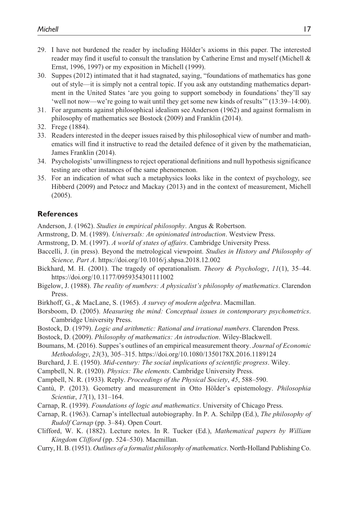- 29. I have not burdened the reader by including Hölder's axioms in this paper. The interested reader may find it useful to consult the translation by Catherine Ernst and myself (Michell  $\&$ Ernst, 1996, 1997) or my exposition in Michell (1999).
- 30. Suppes (2012) intimated that it had stagnated, saying, "foundations of mathematics has gone out of style—it is simply not a central topic. If you ask any outstanding mathematics department in the United States 'are you going to support somebody in foundations' they'll say 'well not now—we're going to wait until they get some new kinds of results'" (13:39–14:00).
- 31. For arguments against philosophical idealism see Anderson (1962) and against formalism in philosophy of mathematics see Bostock (2009) and Franklin (2014).
- 32. Frege (1884).
- 33. Readers interested in the deeper issues raised by this philosophical view of number and mathematics will find it instructive to read the detailed defence of it given by the mathematician, James Franklin (2014).
- 34. Psychologists' unwillingness to reject operational definitions and null hypothesis significance testing are other instances of the same phenomenon.
- 35. For an indication of what such a metaphysics looks like in the context of psychology, see Hibberd (2009) and Petocz and Mackay (2013) and in the context of measurement, Michell (2005).

#### **References**

Anderson, J. (1962). *Studies in empirical philosophy*. Angus & Robertson.

- Armstrong, D. M. (1989). *Universals: An opinionated introduction*. Westview Press.
- Armstrong, D. M. (1997). *A world of states of affairs*. Cambridge University Press.
- Baccelli, J. (in press). Beyond the metrological viewpoint. *Studies in History and Philosophy of Science, Part A*. https://doi.org/10.1016/j.shpsa.2018.12.002
- Bickhard, M. H. (2001). The tragedy of operationalism. *Theory & Psychology*, *11*(1), 35–44. https://doi.org/10.1177/0959354301111002
- Bigelow, J. (1988). *The reality of numbers: A physicalist's philosophy of mathematics*. Clarendon Press.
- Birkhoff, G., & MacLane, S. (1965). *A survey of modern algebra*. Macmillan.
- Borsboom, D. (2005). *Measuring the mind: Conceptual issues in contemporary psychometrics*. Cambridge University Press.
- Bostock, D. (1979). *Logic and arithmetic: Rational and irrational numbers*. Clarendon Press.
- Bostock, D. (2009). *Philosophy of mathematics: An introduction*. Wiley-Blackwell.
- Boumans, M. (2016). Suppes's outlines of an empirical measurement theory. *Journal of Economic Methodology*, *23*(3), 305–315. https://doi.org/10.1080/1350178X.2016.1189124
- Burchard, J. E. (1950). *Mid-century: The social implications of scientific progress*. Wiley.
- Campbell, N. R. (1920). *Physics: The elements*. Cambridge University Press.
- Campbell, N. R. (1933). Reply. *Proceedings of the Physical Society*, *45*, 588–590.
- Cantù, P. (2013). Geometry and measurement in Otto Hölder's epistemology. *Philosophia Scientiæ*, *17*(1), 131–164.
- Carnap, R. (1939). *Foundations of logic and mathematics*. University of Chicago Press.
- Carnap, R. (1963). Carnap's intellectual autobiography. In P. A. Schilpp (Ed.), *The philosophy of Rudolf Carnap* (pp. 3–84). Open Court.
- Clifford, W. K. (1882). Lecture notes. In R. Tucker (Ed.), *Mathematical papers by William Kingdom Clifford* (pp. 524–530). Macmillan.
- Curry, H. B. (1951). *Outlines of a formalist philosophy of mathematics*. North-Holland Publishing Co.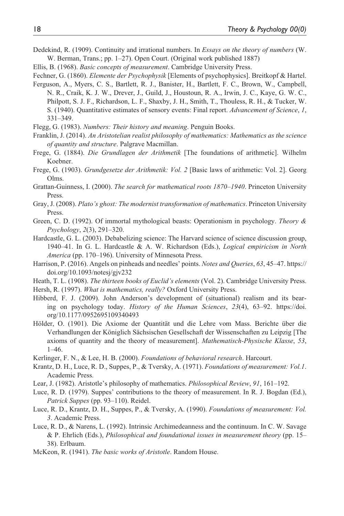- Dedekind, R. (1909). Continuity and irrational numbers. In *Essays on the theory of numbers* (W. W. Berman, Trans.; pp. 1–27). Open Court. (Original work published 1887)
- Ellis, B. (1968). *Basic concepts of measurement*. Cambridge University Press.
- Fechner, G. (1860). *Elemente der Psychophysik* [Elements of psychophysics]. Breitkopf & Hartel.
- Ferguson, A., Myers, C. S., Bartlett, R. J., Banister, H., Bartlett, F. C., Brown, W., Campbell, N. R., Craik, K. J. W., Drever, J., Guild, J., Houstoun, R. A., Irwin, J. C., Kaye, G. W. C., Philpott, S. J. F., Richardson, L. F., Shaxby, J. H., Smith, T., Thouless, R. H., & Tucker, W. S. (1940). Quantitative estimates of sensory events: Final report. *Advancement of Science*, *1*, 331–349.
- Flegg, G. (1983). *Numbers: Their history and meaning*. Penguin Books.
- Franklin, J. (2014). *An Aristotelian realist philosophy of mathematics: Mathematics as the science of quantity and structure*. Palgrave Macmillan.
- Frege, G. (1884). *Die Grundlagen der Arithmetik* [The foundations of arithmetic]. Wilhelm Koebner.
- Frege, G. (1903). *Grundgesetze der Arithmetik: Vol. 2* [Basic laws of arithmetic: Vol. 2]. Georg Olms.
- Grattan-Guinness, I. (2000). *The search for mathematical roots 1870–1940*. Princeton University Press.
- Gray, J. (2008). *Plato's ghost: The modernist transformation of mathematics*. Princeton University Press.
- Green, C. D. (1992). Of immortal mythological beasts: Operationism in psychology. *Theory & Psychology*, *2*(3), 291–320.
- Hardcastle, G. L. (2003). Debabelizing science: The Harvard science of science discussion group, 1940–41. In G. L. Hardcastle & A. W. Richardson (Eds.), *Logical empiricism in North America* (pp. 170–196). University of Minnesota Press.
- Harrison, P. (2016). Angels on pinheads and needles' points. *Notes and Queries*, *63*, 45–47. https:// doi.org/10.1093/notesj/gjv232
- Heath, T. L. (1908). *The thirteen books of Euclid's elements* (Vol. 2). Cambridge University Press.
- Hersh, R. (1997). *What is mathematics, really?* Oxford University Press.
- Hibberd, F. J. (2009). John Anderson's development of (situational) realism and its bearing on psychology today. *History of the Human Sciences*, *23*(4), 63–92. https://doi. org/10.1177/0952695109340493
- Hölder, O. (1901). Die Axiome der Quantität und die Lehre vom Mass. Berichte über die Verhandlungen der Königlich Sächsischen Gesellschaft der Wissenschaften zu Leipzig [The axioms of quantity and the theory of measurement]. *Mathematisch-Physische Klasse*, *53*, 1–46.
- Kerlinger, F. N., & Lee, H. B. (2000). *Foundations of behavioral research*. Harcourt.
- Krantz, D. H., Luce, R. D., Suppes, P., & Tversky, A. (1971). *Foundations of measurement: Vol.1*. Academic Press.
- Lear, J. (1982). Aristotle's philosophy of mathematics. *Philosophical Review*, *91*, 161–192.
- Luce, R. D. (1979). Suppes' contributions to the theory of measurement. In R. J. Bogdan (Ed.), *Patrick Suppes* (pp. 93–110). Reidel.
- Luce, R. D., Krantz, D. H., Suppes, P., & Tversky, A. (1990). *Foundations of measurement: Vol. 3*. Academic Press.
- Luce, R. D., & Narens, L. (1992). Intrinsic Archimedeanness and the continuum. In C. W. Savage & P. Ehrlich (Eds.), *Philosophical and foundational issues in measurement theory* (pp. 15– 38). Erlbaum.
- McKeon, R. (1941). *The basic works of Aristotle*. Random House.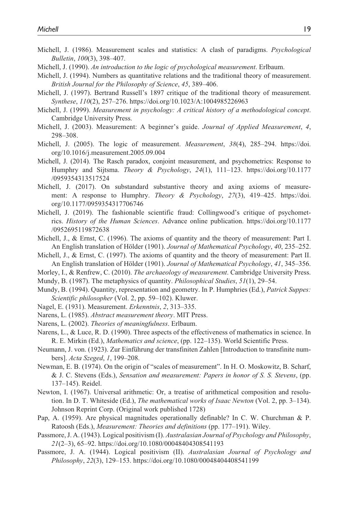- Michell, J. (1986). Measurement scales and statistics: A clash of paradigms. *Psychological Bulletin*, *100*(3), 398–407.
- Michell, J. (1990). *An introduction to the logic of psychological measurement*. Erlbaum.
- Michell, J. (1994). Numbers as quantitative relations and the traditional theory of measurement. *British Journal for the Philosophy of Science*, *45*, 389–406.
- Michell, J. (1997). Bertrand Russell's 1897 critique of the traditional theory of measurement. *Synthese*, *110*(2), 257–276. https://doi.org/10.1023/A:1004985226963
- Michell, J. (1999). *Measurement in psychology: A critical history of a methodological concept*. Cambridge University Press.
- Michell, J. (2003). Measurement: A beginner's guide. *Journal of Applied Measurement*, *4*, 298–308.
- Michell, J. (2005). The logic of measurement. *Measurement*, *38*(4), 285–294. https://doi. org/10.1016/j.measurement.2005.09.004
- Michell, J. (2014). The Rasch paradox, conjoint measurement, and psychometrics: Response to Humphry and Sijtsma. *Theory & Psychology*, *24*(1), 111–123. https://doi.org/10.1177 /0959354313517524
- Michell, J. (2017). On substandard substantive theory and axing axioms of measurement: A response to Humphry. *Theory & Psychology*, *27*(3), 419–425. https://doi. org/10.1177/0959354317706746
- Michell, J. (2019). The fashionable scientific fraud: Collingwood's critique of psychometrics. *History of the Human Sciences*. Advance online publication. https://doi.org/10.1177 /0952695119872638
- Michell, J., & Ernst, C. (1996). The axioms of quantity and the theory of measurement: Part I. An English translation of Hölder (1901). *Journal of Mathematical Psychology*, *40*, 235–252.
- Michell, J., & Ernst, C. (1997). The axioms of quantity and the theory of measurement: Part II. An English translation of Hölder (1901). *Journal of Mathematical Psychology*, *41*, 345–356.
- Morley, I., & Renfrew, C. (2010). *The archaeology of measurement*. Cambridge University Press.
- Mundy, B. (1987). The metaphysics of quantity. *Philosophical Studies*, *51*(1), 29–54.
- Mundy, B. (1994). Quantity, representation and geometry. In P. Humphries (Ed.), *Patrick Suppes: Scientific philosopher* (Vol. 2, pp. 59–102). Kluwer.
- Nagel, E. (1931). Measurement. *Erkenntnis*, *2*, 313–335.
- Narens, L. (1985). *Abstract measurement theory*. MIT Press.
- Narens, L. (2002). *Theories of meaningfulness*. Erlbaum.
- Narens, L., & Luce, R. D. (1990). Three aspects of the effectiveness of mathematics in science. In R. E. Mirkin (Ed.), *Mathematics and science*, (pp. 122–135). World Scientific Press.
- Neumann, J. von. (1923). Zur Einführung der transfiniten Zahlen [Introduction to transfinite numbers]. *Acta Szeged*, *1*, 199–208.
- Newman, E. B. (1974). On the origin of "scales of measurement". In H. O. Moskowitz, B. Scharf, & J. C. Stevens (Eds.), *Sensation and measurement: Papers in honor of S. S. Stevens*, (pp. 137–145). Reidel.
- Newton, I. (1967). Universal arithmetic: Or, a treatise of arithmetical composition and resolution. In D. T. Whiteside (Ed.), *The mathematical works of Isaac Newton* (Vol. 2, pp. 3–134). Johnson Reprint Corp. (Original work published 1728)
- Pap, A. (1959). Are physical magnitudes operationally definable? In C. W. Churchman & P. Ratoosh (Eds.), *Measurement: Theories and definitions* (pp. 177–191). Wiley.
- Passmore, J. A. (1943). Logical positivism (I). *Australasian Journal of Psychology and Philosophy*, *21*(2–3), 65–92. https://doi.org/10.1080/00048404308541193
- Passmore, J. A. (1944). Logical positivism (II). *Australasian Journal of Psychology and Philosophy*, *22*(3), 129–153. https://doi.org/10.1080/00048404408541199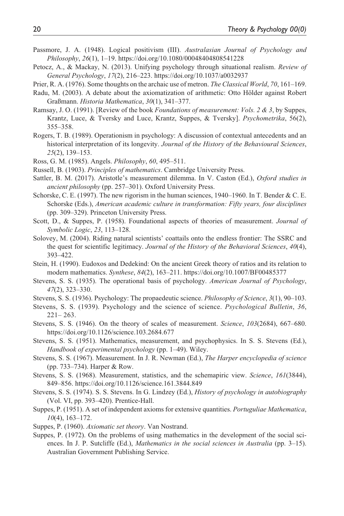- Passmore, J. A. (1948). Logical positivism (III). *Australasian Journal of Psychology and Philosophy*, *26*(1), 1–19. https://doi.org/10.1080/00048404808541228
- Petocz, A., & Mackay, N. (2013). Unifying psychology through situational realism. *Review of General Psychology*, *17*(2), 216–223. https://doi.org/10.1037/a0032937
- Prier, R. A. (1976). Some thoughts on the archaic use of metron. *The Classical World*, *70*, 161–169.
- Radu, M. (2003). A debate about the axiomatization of arithmetic: Otto Hölder against Robert Graßmann. *Historia Mathematica*, *30*(1), 341–377.
- Ramsay, J. O. (1991). [Review of the book *Foundations of measurement: Vols. 2 & 3*, by Suppes, Krantz, Luce, & Tversky and Luce, Krantz, Suppes, & Tversky]. *Psychometrika*, 56(2), 355–358.
- Rogers, T. B. (1989). Operationism in psychology: A discussion of contextual antecedents and an historical interpretation of its longevity. *Journal of the History of the Behavioural Sciences*, *25*(2), 139–153.
- Ross, G. M. (1985). Angels. *Philosophy*, *60*, 495–511.
- Russell, B. (1903). *Principles of mathematics*. Cambridge University Press.
- Sattler, B. M. (2017). Aristotle's measurement dilemma. In V. Caston (Ed.), *Oxford studies in ancient philosophy* (pp. 257–301). Oxford University Press.
- Schorske, C. E. (1997). The new rigorism in the human sciences, 1940–1960. In T. Bender & C. E. Schorske (Eds.), *American academic culture in transformation: Fifty years, four disciplines* (pp. 309–329). Princeton University Press.
- Scott, D., & Suppes, P. (1958). Foundational aspects of theories of measurement. *Journal of Symbolic Logic*, *23*, 113–128.
- Solovey, M. (2004). Riding natural scientists' coattails onto the endless frontier: The SSRC and the quest for scientific legitimacy. *Journal of the History of the Behavioral Sciences*, *40*(4), 393–422.
- Stein, H. (1990). Eudoxos and Dedekind: On the ancient Greek theory of ratios and its relation to modern mathematics. *Synthese*, *84*(2), 163–211. https://doi.org/10.1007/BF00485377
- Stevens, S. S. (1935). The operational basis of psychology. *American Journal of Psychology*, *47*(2), 323–330.
- Stevens, S. S. (1936). Psychology: The propaedeutic science. *Philosophy of Science*, *3*(1), 90–103.
- Stevens, S. S. (1939). Psychology and the science of science. *Psychological Bulletin*, *36*,  $221 - 263$ .
- Stevens, S. S. (1946). On the theory of scales of measurement. *Science*, *103*(2684), 667–680. https://doi.org/10.1126/science.103.2684.677
- Stevens, S. S. (1951). Mathematics, measurement, and psychophysics. In S. S. Stevens (Ed.), *Handbook of experimental psychology* (pp. 1–49). Wiley.
- Stevens, S. S. (1967). Measurement. In J. R. Newman (Ed.), *The Harper encyclopedia of science* (pp. 733–734). Harper & Row.
- Stevens, S. S. (1968). Measurement, statistics, and the schemapiric view. *Science*, *161*(3844), 849–856. https://doi.org/10.1126/science.161.3844.849
- Stevens, S. S. (1974). S. S. Stevens. In G. Lindzey (Ed.), *History of psychology in autobiography* (Vol. VI, pp. 393–420). Prentice-Hall.
- Suppes, P. (1951). A set of independent axioms for extensive quantities. *Portuguliae Mathematica*, *10*(4), 163–172.
- Suppes, P. (1960). *Axiomatic set theory*. Van Nostrand.
- Suppes, P. (1972). On the problems of using mathematics in the development of the social sciences. In J. P. Sutcliffe (Ed.), *Mathematics in the social sciences in Australia* (pp. 3–15). Australian Government Publishing Service.